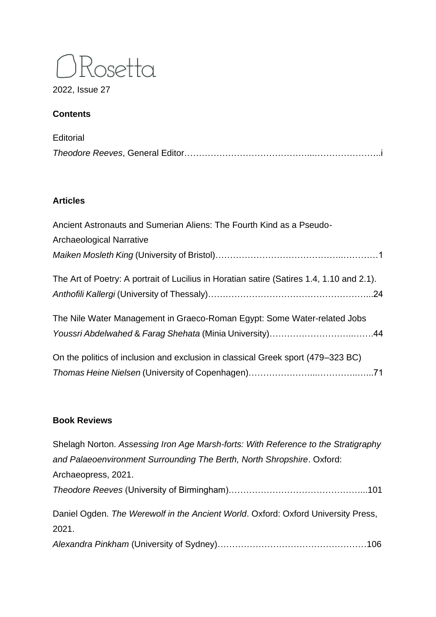ORosetta

2022, Issue 27

## **Contents**

| Editorial |
|-----------|
|           |

## **Articles**

| Ancient Astronauts and Sumerian Aliens: The Fourth Kind as a Pseudo-                      |
|-------------------------------------------------------------------------------------------|
| <b>Archaeological Narrative</b>                                                           |
|                                                                                           |
| The Art of Poetry: A portrait of Lucilius in Horatian satire (Satires 1.4, 1.10 and 2.1). |
|                                                                                           |
| The Nile Water Management in Graeco-Roman Egypt: Some Water-related Jobs                  |
|                                                                                           |
| On the politics of inclusion and exclusion in classical Greek sport (479–323 BC)          |
|                                                                                           |

## **Book Reviews**

| Shelagh Norton. Assessing Iron Age Marsh-forts: With Reference to the Stratigraphy |
|------------------------------------------------------------------------------------|
| and Palaeoenvironment Surrounding The Berth, North Shropshire. Oxford:             |
| Archaeopress, 2021.                                                                |
|                                                                                    |
| Daniel Ogden. The Werewolf in the Ancient World. Oxford: Oxford University Press,  |
| 2021.                                                                              |
|                                                                                    |